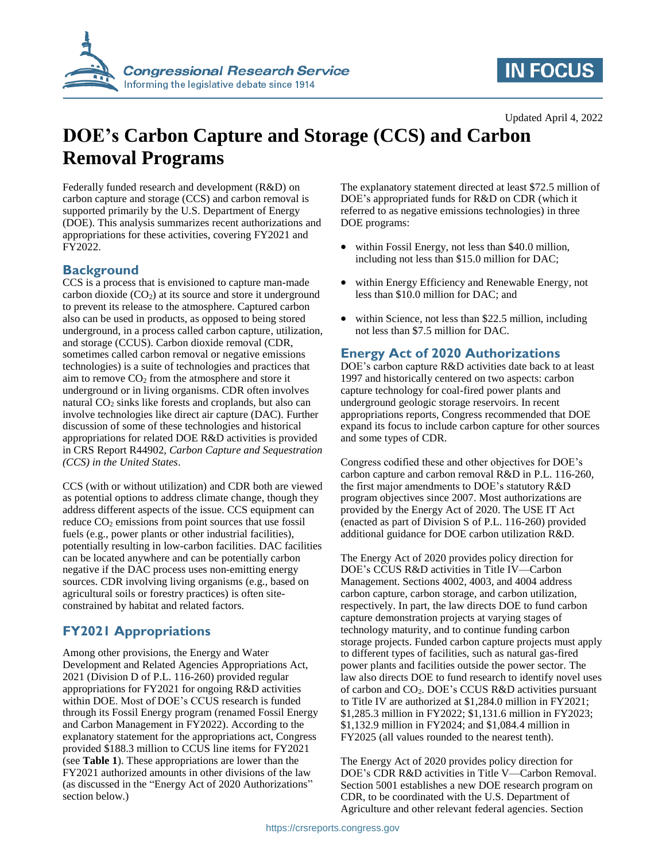

## **IN FOCUS**

Updated April 4, 2022

# **DOE's Carbon Capture and Storage (CCS) and Carbon Removal Programs**

Federally funded research and development (R&D) on carbon capture and storage (CCS) and carbon removal is supported primarily by the U.S. Department of Energy (DOE). This analysis summarizes recent authorizations and appropriations for these activities, covering FY2021 and FY2022.

### **Background**

CCS is a process that is envisioned to capture man-made carbon dioxide  $(CO<sub>2</sub>)$  at its source and store it underground to prevent its release to the atmosphere. Captured carbon also can be used in products, as opposed to being stored underground, in a process called carbon capture, utilization, and storage (CCUS). Carbon dioxide removal (CDR, sometimes called carbon removal or negative emissions technologies) is a suite of technologies and practices that aim to remove  $CO<sub>2</sub>$  from the atmosphere and store it underground or in living organisms. CDR often involves natural CO<sub>2</sub> sinks like forests and croplands, but also can involve technologies like direct air capture (DAC). Further discussion of some of these technologies and historical appropriations for related DOE R&D activities is provided in CRS Report R44902, *Carbon Capture and Sequestration (CCS) in the United States*.

CCS (with or without utilization) and CDR both are viewed as potential options to address climate change, though they address different aspects of the issue. CCS equipment can reduce  $CO<sub>2</sub>$  emissions from point sources that use fossil fuels (e.g., power plants or other industrial facilities), potentially resulting in low-carbon facilities. DAC facilities can be located anywhere and can be potentially carbon negative if the DAC process uses non-emitting energy sources. CDR involving living organisms (e.g., based on agricultural soils or forestry practices) is often siteconstrained by habitat and related factors.

### **FY2021 Appropriations**

Among other provisions, the Energy and Water Development and Related Agencies Appropriations Act, 2021 (Division D of P.L. 116-260) provided regular appropriations for FY2021 for ongoing R&D activities within DOE. Most of DOE's CCUS research is funded through its Fossil Energy program (renamed Fossil Energy and Carbon Management in FY2022). According to the explanatory statement for the appropriations act, Congress provided \$188.3 million to CCUS line items for FY2021 (see **[Table 1](#page-1-0)**). These appropriations are lower than the FY2021 authorized amounts in other divisions of the law (as discussed in the ["Energy Act of 2020 Authorizations"](#page-0-0) section below.)

The explanatory statement directed at least \$72.5 million of DOE's appropriated funds for R&D on CDR (which it referred to as negative emissions technologies) in three DOE programs:

- within Fossil Energy, not less than \$40.0 million, including not less than \$15.0 million for DAC;
- within Energy Efficiency and Renewable Energy, not less than \$10.0 million for DAC; and
- within Science, not less than \$22.5 million, including not less than \$7.5 million for DAC.

#### <span id="page-0-0"></span>**Energy Act of 2020 Authorizations**

DOE's carbon capture R&D activities date back to at least 1997 and historically centered on two aspects: carbon capture technology for coal-fired power plants and underground geologic storage reservoirs. In recent appropriations reports, Congress recommended that DOE expand its focus to include carbon capture for other sources and some types of CDR.

Congress codified these and other objectives for DOE's carbon capture and carbon removal R&D in P.L. 116-260, the first major amendments to DOE's statutory R&D program objectives since 2007. Most authorizations are provided by the Energy Act of 2020. The USE IT Act (enacted as part of Division S of P.L. 116-260) provided additional guidance for DOE carbon utilization R&D.

The Energy Act of 2020 provides policy direction for DOE's CCUS R&D activities in Title IV—Carbon Management. Sections 4002, 4003, and 4004 address carbon capture, carbon storage, and carbon utilization, respectively. In part, the law directs DOE to fund carbon capture demonstration projects at varying stages of technology maturity, and to continue funding carbon storage projects. Funded carbon capture projects must apply to different types of facilities, such as natural gas-fired power plants and facilities outside the power sector. The law also directs DOE to fund research to identify novel uses of carbon and CO2. DOE's CCUS R&D activities pursuant to Title IV are authorized at \$1,284.0 million in FY2021; \$1,285.3 million in FY2022; \$1,131.6 million in FY2023; \$1,132.9 million in FY2024; and \$1,084.4 million in FY2025 (all values rounded to the nearest tenth).

The Energy Act of 2020 provides policy direction for DOE's CDR R&D activities in Title V—Carbon Removal. Section 5001 establishes a new DOE research program on CDR, to be coordinated with the U.S. Department of Agriculture and other relevant federal agencies. Section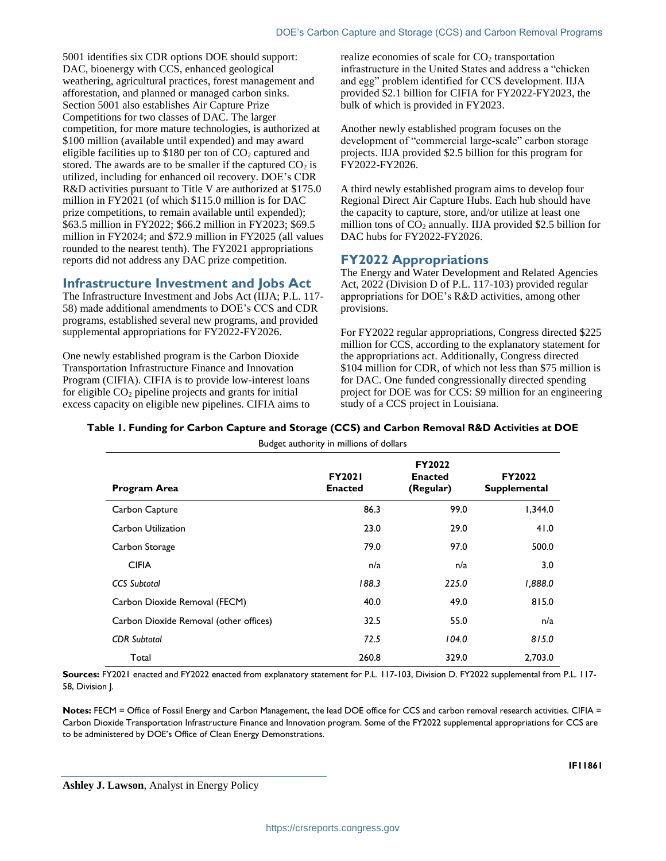5001 identifies six CDR options DOE should support: DAC, bioenergy with CCS, enhanced geological weathering, agricultural practices, forest management and afforestation, and planned or managed carbon sinks. Section 5001 also establishes Air Capture Prize Competitions for two classes of DAC. The larger competition, for more mature technologies, is authorized at \$100 million (available until expended) and may award eligible facilities up to \$180 per ton of  $CO<sub>2</sub>$  captured and stored. The awards are to be smaller if the captured  $CO<sub>2</sub>$  is utilized, including for enhanced oil recovery. DOE's CDR R&D activities pursuant to Title V are authorized at \$175.0 million in FY2021 (of which \$115.0 million is for DAC prize competitions, to remain available until expended); \$63.5 million in FY2022; \$66.2 million in FY2023; \$69.5 million in FY2024; and \$72.9 million in FY2025 (all values rounded to the nearest tenth). The FY2021 appropriations reports did not address any DAC prize competition.

#### **Infrastructure Investment and Jobs Act**

The Infrastructure Investment and Jobs Act (IIJA; P.L. 117- 58) made additional amendments to DOE's CCS and CDR programs, established several new programs, and provided supplemental appropriations for FY2022-FY2026.

One newly established program is the Carbon Dioxide Transportation Infrastructure Finance and Innovation Program (CIFIA). CIFIA is to provide low-interest loans for eligible  $CO<sub>2</sub>$  pipeline projects and grants for initial excess capacity on eligible new pipelines. CIFIA aims to

realize economies of scale for  $CO<sub>2</sub>$  transportation infrastructure in the United States and address a "chicken and egg" problem identified for CCS development. IIJA provided \$2.1 billion for CIFIA for FY2022-FY2023, the bulk of which is provided in FY2023.

Another newly established program focuses on the development of "commercial large-scale" carbon storage projects. IIJA provided \$2.5 billion for this program for FY2022-FY2026.

A third newly established program aims to develop four Regional Direct Air Capture Hubs. Each hub should have the capacity to capture, store, and/or utilize at least one million tons of  $CO<sub>2</sub>$  annually. IIJA provided \$2.5 billion for DAC hubs for FY2022-FY2026.

#### **FY2022 Appropriations**

The Energy and Water Development and Related Agencies Act, 2022 (Division D of P.L. 117-103) provided regular appropriations for DOE's R&D activities, among other provisions.

For FY2022 regular appropriations, Congress directed \$225 million for CCS, according to the explanatory statement for the appropriations act. Additionally, Congress directed \$104 million for CDR, of which not less than \$75 million is for DAC. One funded congressionally directed spending project for DOE was for CCS: \$9 million for an engineering study of a CCS project in Louisiana.

#### <span id="page-1-0"></span>**Table 1. Funding for Carbon Capture and Storage (CCS) and Carbon Removal R&D Activities at DOE**

| Budget authority in millions of dollars |                                 |                                       |                               |
|-----------------------------------------|---------------------------------|---------------------------------------|-------------------------------|
| Program Area                            | <b>FY2021</b><br><b>Enacted</b> | FY2022<br><b>Enacted</b><br>(Regular) | FY2022<br><b>Supplemental</b> |
| Carbon Capture                          | 86.3                            | 99.0                                  | 1,344.0                       |
| Carbon Utilization                      | 23.0                            | 29.0                                  | 41.0                          |
| Carbon Storage                          | 79.0                            | 97.0                                  | 500.0                         |
| <b>CIFIA</b>                            | n/a                             | n/a                                   | 3.0                           |
| <b>CCS Subtotal</b>                     | 188.3                           | 225.0                                 | 1,888.0                       |
| Carbon Dioxide Removal (FECM)           | 40.0                            | 49.0                                  | 815.0                         |
| Carbon Dioxide Removal (other offices)  | 32.5                            | 55.0                                  | n/a                           |
| <b>CDR</b> Subtotal                     | 72.5                            | 104.0                                 | 815.0                         |
| Total                                   | 260.8                           | 329.0                                 | 2,703.0                       |

**Sources:** FY2021 enacted and FY2022 enacted from explanatory statement for P.L. 117-103, Division D. FY2022 supplemental from P.L. 117- 58, Division J.

Notes: FECM = Office of Fossil Energy and Carbon Management, the lead DOE office for CCS and carbon removal research activities. CIFIA = Carbon Dioxide Transportation Infrastructure Finance and Innovation program. Some of the FY2022 supplemental appropriations for CCS are to be administered by DOE's Office of Clean Energy Demonstrations.